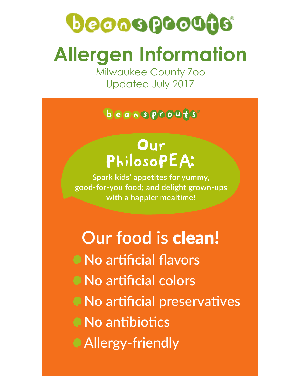# Decospocade **Allergen Information**

Milwaukee County Zoo Updated July 2017

#### beansprouts

## Our PhilosoPEA:

**Spark kids' appetites for yummy, good-for-you food; and delight grown-ups with a happier mealtime!**

## **Our food is** clean! • No artificial flavors

 $\bullet$  No artificial colors

• No artificial preservatives

• No antibiotics

Allergy-friendly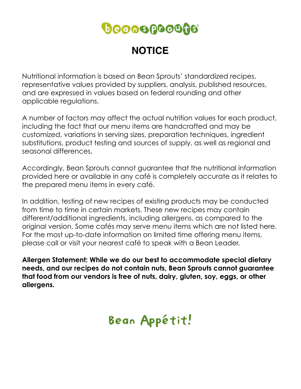## **Deooogooogo**

### **NOTICE**

Nutritional information is based on Bean Sprouts' standardized recipes, representative values provided by suppliers, analysis, published resources, and are expressed in values based on federal rounding and other applicable regulations.

A number of factors may affect the actual nutrition values for each product, including the fact that our menu items are handcrafted and may be customized, variations in serving sizes, preparation techniques, ingredient substitutions, product testing and sources of supply, as well as regional and seasonal differences.

Accordingly, Bean Sprouts cannot guarantee that the nutritional information provided here or available in any café is completely accurate as it relates to the prepared menu items in every café.

In addition, testing of new recipes of existing products may be conducted from time to time in certain markets. These new recipes may contain different/additional ingredients, including allergens, as compared to the original version. Some cafés may serve menu items which are not listed here. For the most up-to-date information on limited time offering menu items, please call or visit your nearest café to speak with a Bean Leader.

**Allergen Statement: While we do our best to accommodate special dietary needs, and our recipes do not contain nuts, Bean Sprouts cannot guarantee that food from our vendors is free of nuts, dairy, gluten, soy, eggs, or other allergens.** 

## Bean Appétit!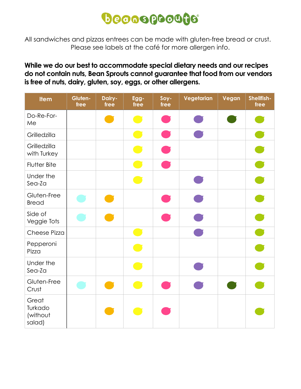## **Deooogooogo**

All sandwiches and pizzas entrees can be made with gluten-free bread or crust. Please see labels at the café for more allergen info.

#### **While we do our best to accommodate special dietary needs and our recipes do not contain nuts, Bean Sprouts cannot guarantee that food from our vendors is free of nuts, dairy, gluten, soy, eggs, or other allergens.**

| <b>Item</b>                            | Gluten-<br>free | Dairy-<br>free | Egg-<br>free                                                                                                   | Soy-<br>free | Vegetarian | Vegan | Shellfish-<br>free |
|----------------------------------------|-----------------|----------------|----------------------------------------------------------------------------------------------------------------|--------------|------------|-------|--------------------|
| Do-Re-For-<br>Me                       |                 |                |                                                                                                                |              |            |       |                    |
| Grilledzilla                           |                 |                |                                                                                                                |              |            |       |                    |
| Grilledzilla<br>with Turkey            |                 |                | $\blacksquare$                                                                                                 |              |            |       | $\bullet$          |
| Flutter Bite                           |                 |                | and the state of the state of the state of the state of the state of the state of the state of the state of th |              |            |       | $\bullet$          |
| Under the<br>Sea-Za                    |                 |                |                                                                                                                |              |            |       |                    |
| Gluten-Free<br><b>Bread</b>            |                 |                |                                                                                                                |              |            |       |                    |
| Side of<br>Veggie Tots                 |                 |                |                                                                                                                |              |            |       | n                  |
| Cheese Pizza                           |                 |                | m,                                                                                                             |              |            |       | $\bullet$          |
| Pepperoni<br>Pizza                     |                 |                |                                                                                                                |              |            |       |                    |
| Under the<br>Sea-Za                    |                 |                | Œ                                                                                                              |              |            |       |                    |
| Gluten-Free<br>Crust                   |                 |                |                                                                                                                |              |            |       |                    |
| Great<br>Turkado<br>(without<br>salad) |                 |                |                                                                                                                |              |            |       |                    |